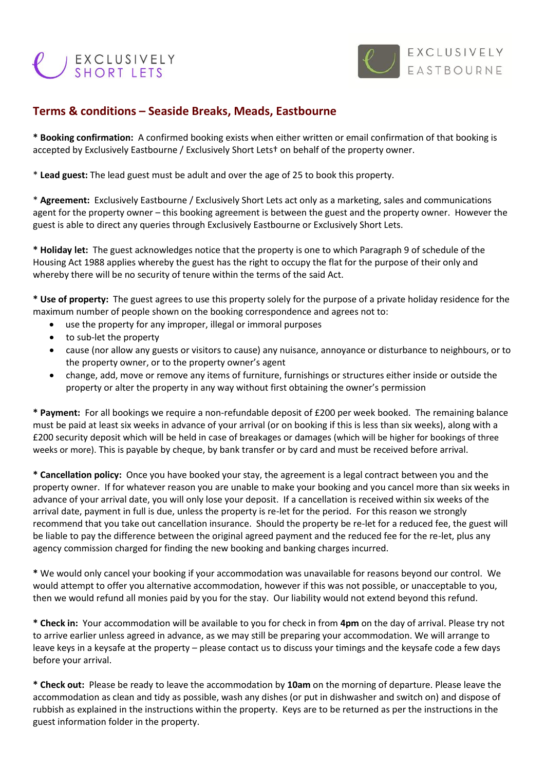## EXCLUSIVELY



## **Terms & conditions – Seaside Breaks, Meads, Eastbourne**

**\* Booking confirmation:** A confirmed booking exists when either written or email confirmation of that booking is accepted by Exclusively Eastbourne / Exclusively Short Lets† on behalf of the property owner.

\* **Lead guest:** The lead guest must be adult and over the age of 25 to book this property.

\* **Agreement:** Exclusively Eastbourne / Exclusively Short Lets act only as a marketing, sales and communications agent for the property owner – this booking agreement is between the guest and the property owner. However the guest is able to direct any queries through Exclusively Eastbourne or Exclusively Short Lets.

**\* Holiday let:** The guest acknowledges notice that the property is one to which Paragraph 9 of schedule of the Housing Act 1988 applies whereby the guest has the right to occupy the flat for the purpose of their only and whereby there will be no security of tenure within the terms of the said Act.

**\* Use of property:** The guest agrees to use this property solely for the purpose of a private holiday residence for the maximum number of people shown on the booking correspondence and agrees not to:

- use the property for any improper, illegal or immoral purposes
- to sub-let the property
- cause (nor allow any guests or visitors to cause) any nuisance, annoyance or disturbance to neighbours, or to the property owner, or to the property owner's agent
- change, add, move or remove any items of furniture, furnishings or structures either inside or outside the property or alter the property in any way without first obtaining the owner's permission

**\* Payment:** For all bookings we require a non-refundable deposit of £200 per week booked. The remaining balance must be paid at least six weeks in advance of your arrival (or on booking if this is less than six weeks), along with a £200 security deposit which will be held in case of breakages or damages (which will be higher for bookings of three weeks or more). This is payable by cheque, by bank transfer or by card and must be received before arrival.

**\* Cancellation policy:** Once you have booked your stay, the agreement is a legal contract between you and the property owner. If for whatever reason you are unable to make your booking and you cancel more than six weeks in advance of your arrival date, you will only lose your deposit. If a cancellation is received within six weeks of the arrival date, payment in full is due, unless the property is re-let for the period. For this reason we strongly recommend that you take out cancellation insurance. Should the property be re-let for a reduced fee, the guest will be liable to pay the difference between the original agreed payment and the reduced fee for the re-let, plus any agency commission charged for finding the new booking and banking charges incurred.

**\*** We would only cancel your booking if your accommodation was unavailable for reasons beyond our control. We would attempt to offer you alternative accommodation, however if this was not possible, or unacceptable to you, then we would refund all monies paid by you for the stay. Our liability would not extend beyond this refund.

**\* Check in:** Your accommodation will be available to you for check in from **4pm** on the day of arrival. Please try not to arrive earlier unless agreed in advance, as we may still be preparing your accommodation. We will arrange to leave keys in a keysafe at the property – please contact us to discuss your timings and the keysafe code a few days before your arrival.

**\* Check out:** Please be ready to leave the accommodation by **10am** on the morning of departure. Please leave the accommodation as clean and tidy as possible, wash any dishes (or put in dishwasher and switch on) and dispose of rubbish as explained in the instructions within the property. Keys are to be returned as per the instructions in the guest information folder in the property.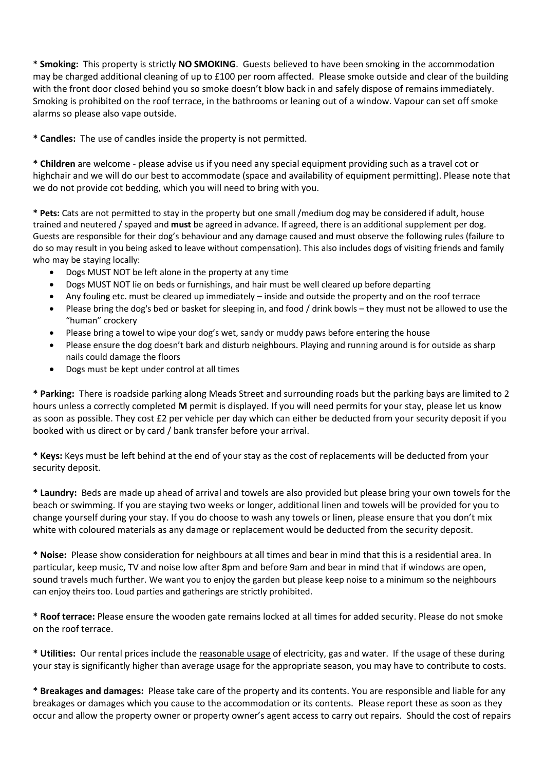**\* Smoking:** This property is strictly **NO SMOKING**. Guests believed to have been smoking in the accommodation may be charged additional cleaning of up to £100 per room affected. Please smoke outside and clear of the building with the front door closed behind you so smoke doesn't blow back in and safely dispose of remains immediately. Smoking is prohibited on the roof terrace, in the bathrooms or leaning out of a window. Vapour can set off smoke alarms so please also vape outside.

**\* Candles:** The use of candles inside the property is not permitted.

**\* Children** are welcome - please advise us if you need any special equipment providing such as a travel cot or highchair and we will do our best to accommodate (space and availability of equipment permitting). Please note that we do not provide cot bedding, which you will need to bring with you.

**\* Pets:** Cats are not permitted to stay in the property but one small /medium dog may be considered if adult, house trained and neutered / spayed and **must** be agreed in advance. If agreed, there is an additional supplement per dog. Guests are responsible for their dog's behaviour and any damage caused and must observe the following rules (failure to do so may result in you being asked to leave without compensation). This also includes dogs of visiting friends and family who may be staying locally:

- Dogs MUST NOT be left alone in the property at any time
- Dogs MUST NOT lie on beds or furnishings, and hair must be well cleared up before departing
- Any fouling etc. must be cleared up immediately inside and outside the property and on the roof terrace
- Please bring the dog's bed or basket for sleeping in, and food / drink bowls they must not be allowed to use the "human" crockery
- Please bring a towel to wipe your dog's wet, sandy or muddy paws before entering the house
- Please ensure the dog doesn't bark and disturb neighbours. Playing and running around is for outside as sharp nails could damage the floors
- Dogs must be kept under control at all times

**\* Parking:** There is roadside parking along Meads Street and surrounding roads but the parking bays are limited to 2 hours unless a correctly completed **M** permit is displayed. If you will need permits for your stay, please let us know as soon as possible. They cost £2 per vehicle per day which can either be deducted from your security deposit if you booked with us direct or by card / bank transfer before your arrival.

**\* Keys:** Keys must be left behind at the end of your stay as the cost of replacements will be deducted from your security deposit.

**\* Laundry:** Beds are made up ahead of arrival and towels are also provided but please bring your own towels for the beach or swimming. If you are staying two weeks or longer, additional linen and towels will be provided for you to change yourself during your stay. If you do choose to wash any towels or linen, please ensure that you don't mix white with coloured materials as any damage or replacement would be deducted from the security deposit.

**\* Noise:** Please show consideration for neighbours at all times and bear in mind that this is a residential area. In particular, keep music, TV and noise low after 8pm and before 9am and bear in mind that if windows are open, sound travels much further. We want you to enjoy the garden but please keep noise to a minimum so the neighbours can enjoy theirs too. Loud parties and gatherings are strictly prohibited.

**\* Roof terrace:** Please ensure the wooden gate remains locked at all times for added security. Please do not smoke on the roof terrace.

**\* Utilities:** Our rental prices include the reasonable usage of electricity, gas and water. If the usage of these during your stay is significantly higher than average usage for the appropriate season, you may have to contribute to costs.

**\* Breakages and damages:** Please take care of the property and its contents. You are responsible and liable for any breakages or damages which you cause to the accommodation or its contents. Please report these as soon as they occur and allow the property owner or property owner's agent access to carry out repairs. Should the cost of repairs